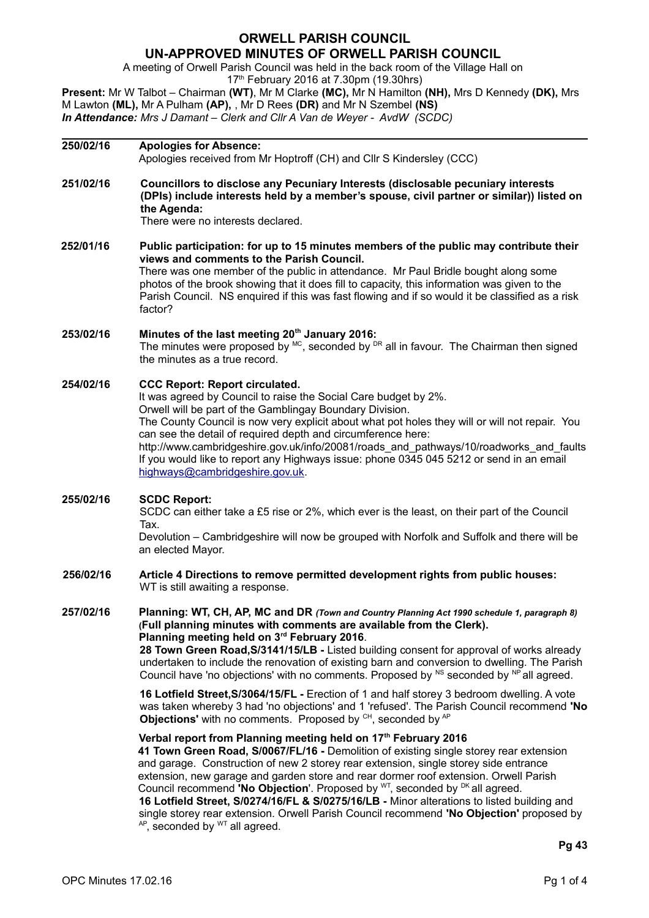# **ORWELL PARISH COUNCIL UN-APPROVED MINUTES OF ORWELL PARISH COUNCIL**

A meeting of Orwell Parish Council was held in the back room of the Village Hall on

17<sup>th</sup> February 2016 at 7.30pm (19.30hrs)

**Present:** Mr W Talbot – Chairman **(WT)**, Mr M Clarke **(MC),** Mr N Hamilton **(NH),** Mrs D Kennedy **(DK),** Mrs M Lawton **(ML),** Mr A Pulham **(AP),** , Mr D Rees **(DR)** and Mr N Szembel **(NS)** *In Attendance: Mrs J Damant – Clerk and Cllr A Van de Weyer - AvdW (SCDC)*

# **250/02/16 Apologies for Absence:** Apologies received from Mr Hoptroff (CH) and Cllr S Kindersley (CCC) **251/02/16 Councillors to disclose any Pecuniary Interests (disclosable pecuniary interests (DPIs) include interests held by a member's spouse, civil partner or similar)) listed on the Agenda:** There were no interests declared. **252/01/16 Public participation: for up to 15 minutes members of the public may contribute their views and comments to the Parish Council.** There was one member of the public in attendance. Mr Paul Bridle bought along some photos of the brook showing that it does fill to capacity, this information was given to the Parish Council. NS enquired if this was fast flowing and if so would it be classified as a risk factor? **253/02/16 Minutes of the last meeting 20th January 2016:**  The minutes were proposed by  $^{MC}$ , seconded by  $^{DR}$  all in favour. The Chairman then signed the minutes as a true record. **254/02/16 CCC Report: Report circulated.** It was agreed by Council to raise the Social Care budget by 2%. Orwell will be part of the Gamblingay Boundary Division. The County Council is now very explicit about what pot holes they will or will not repair. You can see the detail of required depth and circumference here: http://www.cambridgeshire.gov.uk/info/20081/roads\_and\_pathways/10/roadworks\_and\_faults If you would like to report any Highways issue: phone 0345 045 5212 or send in an email [highways@cambridgeshire.gov.uk.](mailto:highways@cambridgeshire.gov.uk) **255/02/16 SCDC Report:**  SCDC can either take a £5 rise or 2%, which ever is the least, on their part of the Council Tax. Devolution – Cambridgeshire will now be grouped with Norfolk and Suffolk and there will be an elected Mayor. **256/02/16 Article 4 Directions to remove permitted development rights from public houses:** WT is still awaiting a response. **257/02/16 Planning: WT, CH, AP, MC and DR** *(Town and Country Planning Act 1990 schedule 1, paragraph 8)* **(Full planning minutes with comments are available from the Clerk). Planning meeting held on 3rd February 2016**. **28 Town Green Road,S/3141/15/LB -** Listed building consent for approval of works already undertaken to include the renovation of existing barn and conversion to dwelling. The Parish Council have 'no objections' with no comments. Proposed by  $N^S$  seconded by  $N^P$  all agreed. **16 Lotfield Street,S/3064/15/FL -** Erection of 1 and half storey 3 bedroom dwelling. A vote was taken whereby 3 had 'no objections' and 1 'refused'. The Parish Council recommend **'No Objections'** with no comments. Proposed by <sup>CH</sup>, seconded by <sup>AP</sup> **Verbal report from Planning meeting held on 17th February 2016 41 Town Green Road, S/0067/FL/16 -** Demolition of existing single storey rear extension and garage. Construction of new 2 storey rear extension, single storey side entrance extension, new garage and garden store and rear dormer roof extension. Orwell Parish Council recommend **'No Objection'**. Proposed by <sup>WT</sup>, seconded by <sup>DK</sup> all agreed. **16 Lotfield Street, S/0274/16/FL & S/0275/16/LB -** Minor alterations to listed building and single storey rear extension. Orwell Parish Council recommend **'No Objection'** proposed by  $AP$ , seconded by  $WT$  all agreed.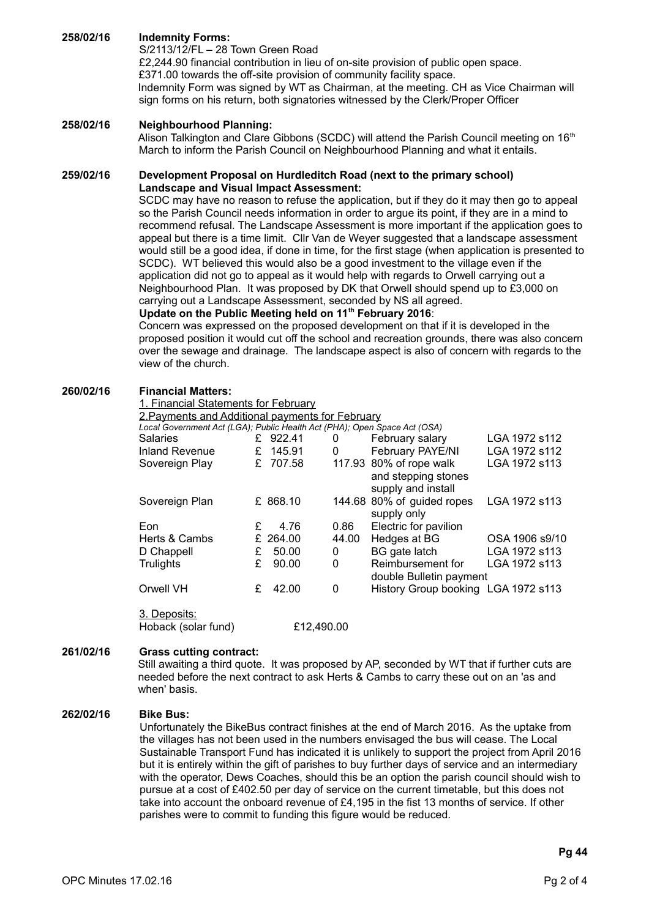# **258/02/16 Indemnity Forms:**

S/2113/12/FL – 28 Town Green Road £2,244.90 financial contribution in lieu of on-site provision of public open space. £371.00 towards the off-site provision of community facility space. Indemnity Form was signed by WT as Chairman, at the meeting. CH as Vice Chairman will sign forms on his return, both signatories witnessed by the Clerk/Proper Officer

# **258/02/16 Neighbourhood Planning:**

Alison Talkington and Clare Gibbons (SCDC) will attend the Parish Council meeting on 16<sup>th</sup> March to inform the Parish Council on Neighbourhood Planning and what it entails.

## **259/02/16 Development Proposal on Hurdleditch Road (next to the primary school) Landscape and Visual Impact Assessment:**

SCDC may have no reason to refuse the application, but if they do it may then go to appeal so the Parish Council needs information in order to argue its point, if they are in a mind to recommend refusal. The Landscape Assessment is more important if the application goes to appeal but there is a time limit. Cllr Van de Weyer suggested that a landscape assessment would still be a good idea, if done in time, for the first stage (when application is presented to SCDC). WT believed this would also be a good investment to the village even if the application did not go to appeal as it would help with regards to Orwell carrying out a Neighbourhood Plan. It was proposed by DK that Orwell should spend up to £3,000 on carrying out a Landscape Assessment, seconded by NS all agreed.

# **Update on the Public Meeting held on 11th February 2016**:

Concern was expressed on the proposed development on that if it is developed in the proposed position it would cut off the school and recreation grounds, there was also concern over the sewage and drainage. The landscape aspect is also of concern with regards to the view of the church.

## **260/02/16 Financial Matters:**

#### 1. Financial Statements for February

2.Payments and Additional payments for February

| Local Government Act (LGA); Public Health Act (PHA); Open Space Act (OSA) |   |          |       |                                                                      |                |
|---------------------------------------------------------------------------|---|----------|-------|----------------------------------------------------------------------|----------------|
| <b>Salaries</b>                                                           |   | £ 922.41 | 0     | February salary                                                      | LGA 1972 s112  |
| Inland Revenue                                                            | £ | 145.91   | 0     | February PAYE/NI                                                     | LGA 1972 s112  |
| Sovereign Play                                                            | £ | 707.58   |       | 117.93 80% of rope walk<br>and stepping stones<br>supply and install | LGA 1972 s113  |
| Sovereign Plan                                                            |   | £ 868.10 |       | 144.68 80% of guided ropes<br>supply only                            | LGA 1972 s113  |
| Eon                                                                       | £ | 4.76     | 0.86  | Electric for pavilion                                                |                |
| Herts & Cambs                                                             |   | £ 264.00 | 44.00 | Hedges at BG                                                         | OSA 1906 s9/10 |
| D Chappell                                                                | £ | 50.00    | 0     | BG gate latch                                                        | LGA 1972 s113  |
| <b>Trulights</b>                                                          | £ | 90.00    | 0     | Reimbursement for<br>double Bulletin payment                         | LGA 1972 s113  |
| Orwell VH                                                                 | £ | 42.00    | 0     | History Group booking LGA 1972 s113                                  |                |
|                                                                           |   |          |       |                                                                      |                |

3. Deposits: Hoback (solar fund) £12,490.00

### **261/02/16 Grass cutting contract:**

Still awaiting a third quote. It was proposed by AP, seconded by WT that if further cuts are needed before the next contract to ask Herts & Cambs to carry these out on an 'as and when' basis.

### **262/02/16 Bike Bus:**

Unfortunately the BikeBus contract finishes at the end of March 2016. As the uptake from the villages has not been used in the numbers envisaged the bus will cease. The Local Sustainable Transport Fund has indicated it is unlikely to support the project from April 2016 but it is entirely within the gift of parishes to buy further days of service and an intermediary with the operator, Dews Coaches, should this be an option the parish council should wish to pursue at a cost of £402.50 per day of service on the current timetable, but this does not take into account the onboard revenue of £4,195 in the fist 13 months of service. If other parishes were to commit to funding this figure would be reduced.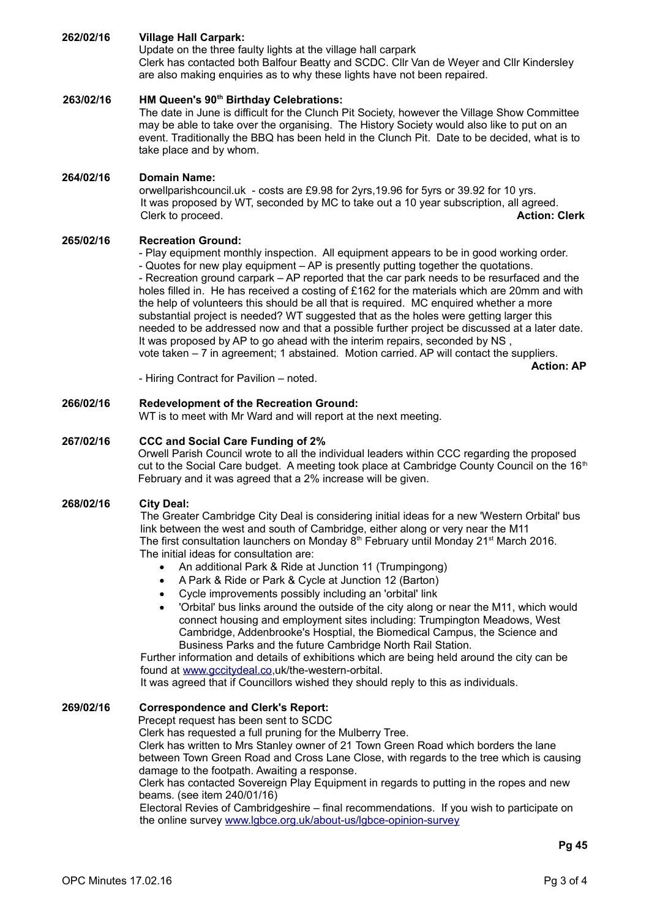# **262/02/16 Village Hall Carpark:**

Update on the three faulty lights at the village hall carpark Clerk has contacted both Balfour Beatty and SCDC. Cllr Van de Weyer and Cllr Kindersley are also making enquiries as to why these lights have not been repaired.

# **263/02/16 HM Queen's 90th Birthday Celebrations:**

The date in June is difficult for the Clunch Pit Society, however the Village Show Committee may be able to take over the organising. The History Society would also like to put on an event. Traditionally the BBQ has been held in the Clunch Pit. Date to be decided, what is to take place and by whom.

## **264/02/16 Domain Name:**

orwellparishcouncil.uk - costs are £9.98 for 2yrs,19.96 for 5yrs or 39.92 for 10 yrs. It was proposed by WT, seconded by MC to take out a 10 year subscription, all agreed. Clerk to proceed. **Action: Clerk**

## **265/02/16 Recreation Ground:**

- Play equipment monthly inspection. All equipment appears to be in good working order. - Quotes for new play equipment – AP is presently putting together the quotations. - Recreation ground carpark – AP reported that the car park needs to be resurfaced and the holes filled in. He has received a costing of £162 for the materials which are 20mm and with the help of volunteers this should be all that is required. MC enquired whether a more substantial project is needed? WT suggested that as the holes were getting larger this needed to be addressed now and that a possible further project be discussed at a later date. It was proposed by AP to go ahead with the interim repairs, seconded by NS, vote taken – 7 in agreement; 1 abstained. Motion carried. AP will contact the suppliers.

**Action: AP**

- Hiring Contract for Pavilion – noted.

### **266/02/16 Redevelopment of the Recreation Ground:**

WT is to meet with Mr Ward and will report at the next meeting.

### **267/02/16 CCC and Social Care Funding of 2%**

Orwell Parish Council wrote to all the individual leaders within CCC regarding the proposed cut to the Social Care budget. A meeting took place at Cambridge County Council on the  $16<sup>th</sup>$ February and it was agreed that a 2% increase will be given.

### **268/02/16 City Deal:**

The Greater Cambridge City Deal is considering initial ideas for a new 'Western Orbital' bus link between the west and south of Cambridge, either along or very near the M11 The first consultation launchers on Monday  $8<sup>th</sup>$  February until Monday 21<sup>st</sup> March 2016. The initial ideas for consultation are:

- An additional Park & Ride at Junction 11 (Trumpingong)
- A Park & Ride or Park & Cycle at Junction 12 (Barton)
- Cycle improvements possibly including an 'orbital' link
- 'Orbital' bus links around the outside of the city along or near the M11, which would connect housing and employment sites including: Trumpington Meadows, West Cambridge, Addenbrooke's Hosptial, the Biomedical Campus, the Science and Business Parks and the future Cambridge North Rail Station.

Further information and details of exhibitions which are being held around the city can be found at [www.gccitydeal.co,](http://www.gccitydeal.co/)uk/the-western-orbital.

It was agreed that if Councillors wished they should reply to this as individuals.

# **269/02/16 Correspondence and Clerk's Report:**

Precept request has been sent to SCDC

Clerk has requested a full pruning for the Mulberry Tree.

Clerk has written to Mrs Stanley owner of 21 Town Green Road which borders the lane between Town Green Road and Cross Lane Close, with regards to the tree which is causing damage to the footpath. Awaiting a response.

Clerk has contacted Sovereign Play Equipment in regards to putting in the ropes and new beams. (see item 240/01/16)

Electoral Revies of Cambridgeshire – final recommendations. If you wish to participate on the online survey [www.lgbce.org.uk/about-us/lgbce-opinion-survey](http://www.lgbce.org.uk/about-us/lgbce-opinion-survey)